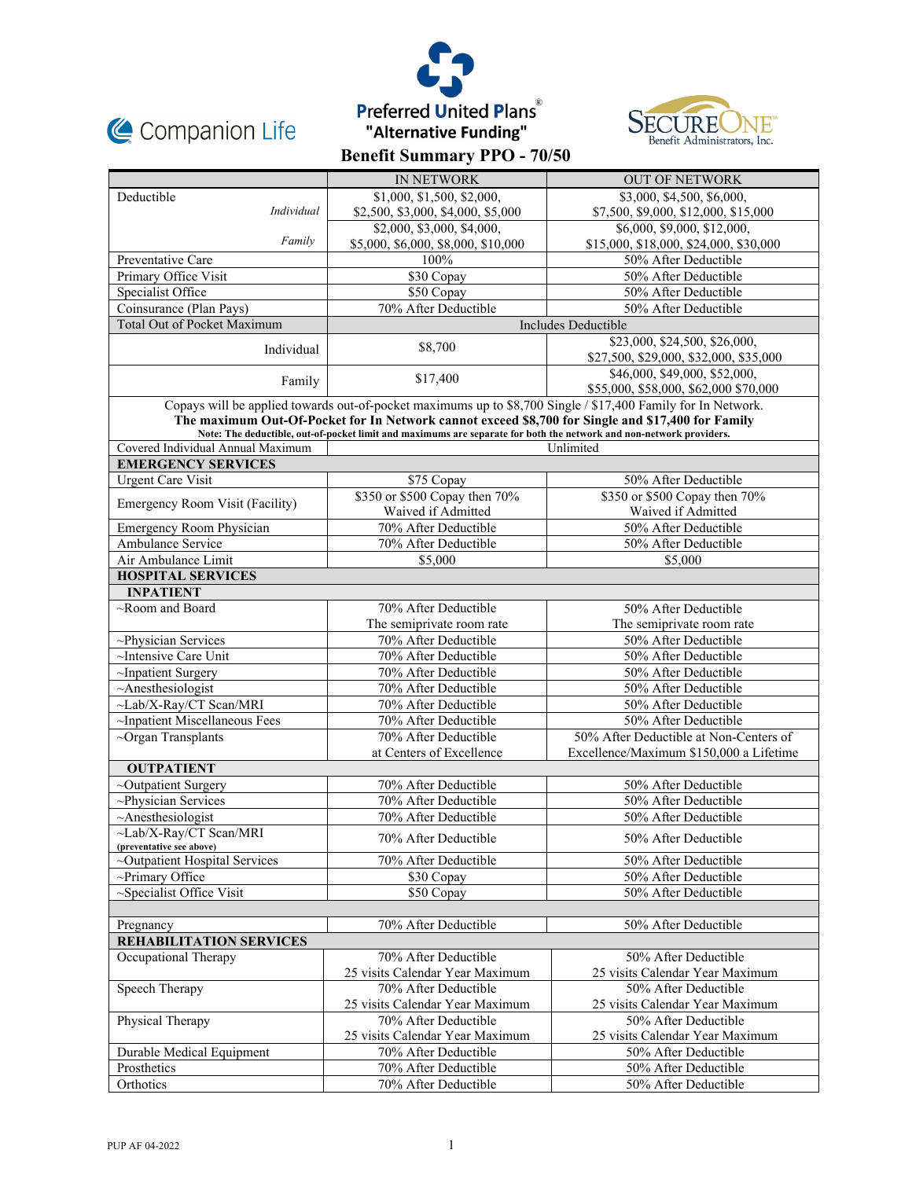

# **Benefit Summary PPO - 70/50**<br> **Benefit Summary PPO - 70/50**



|                                    | <b>IN NETWORK</b>                                                                                                   | <b>OUT OF NETWORK</b>                   |
|------------------------------------|---------------------------------------------------------------------------------------------------------------------|-----------------------------------------|
| Deductible                         | \$1,000, \$1,500, \$2,000,                                                                                          | \$3,000, \$4,500, \$6,000,              |
| Individual                         | \$2,500, \$3,000, \$4,000, \$5,000                                                                                  | \$7,500, \$9,000, \$12,000, \$15,000    |
|                                    | \$2,000, \$3,000, \$4,000,                                                                                          | \$6,000, \$9,000, \$12,000,             |
| Family                             | \$5,000, \$6,000, \$8,000, \$10,000                                                                                 | \$15,000, \$18,000, \$24,000, \$30,000  |
| Preventative Care                  | 100%                                                                                                                | 50% After Deductible                    |
| Primary Office Visit               | \$30 Copay                                                                                                          | 50% After Deductible                    |
| Specialist Office                  | \$50 Copay                                                                                                          | 50% After Deductible                    |
| Coinsurance (Plan Pays)            | 70% After Deductible                                                                                                | 50% After Deductible                    |
| <b>Total Out of Pocket Maximum</b> |                                                                                                                     | Includes Deductible                     |
|                                    |                                                                                                                     | \$23,000, \$24,500, \$26,000,           |
| Individual                         | \$8,700                                                                                                             | \$27,500, \$29,000, \$32,000, \$35,000  |
|                                    |                                                                                                                     | \$46,000, \$49,000, \$52,000,           |
| Family                             | \$17,400                                                                                                            | \$55,000, \$58,000, \$62,000 \$70,000   |
|                                    | Copays will be applied towards out-of-pocket maximums up to \$8,700 Single / \$17,400 Family for In Network.        |                                         |
|                                    | The maximum Out-Of-Pocket for In Network cannot exceed \$8,700 for Single and \$17,400 for Family                   |                                         |
|                                    | Note: The deductible, out-of-pocket limit and maximums are separate for both the network and non-network providers. |                                         |
| Covered Individual Annual Maximum  |                                                                                                                     | Unlimited                               |
| <b>EMERGENCY SERVICES</b>          |                                                                                                                     |                                         |
| <b>Urgent Care Visit</b>           | \$75 Copay                                                                                                          | 50% After Deductible                    |
|                                    | \$350 or \$500 Copay then 70%                                                                                       | \$350 or \$500 Copay then 70%           |
| Emergency Room Visit (Facility)    | Waived if Admitted                                                                                                  | Waived if Admitted                      |
| Emergency Room Physician           | 70% After Deductible                                                                                                | 50% After Deductible                    |
| Ambulance Service                  | 70% After Deductible                                                                                                | 50% After Deductible                    |
| Air Ambulance Limit                | \$5,000                                                                                                             | \$5,000                                 |
| <b>HOSPITAL SERVICES</b>           |                                                                                                                     |                                         |
| <b>INPATIENT</b>                   |                                                                                                                     |                                         |
| $\sim$ Room and Board              | 70% After Deductible                                                                                                | 50% After Deductible                    |
|                                    | The semiprivate room rate                                                                                           | The semiprivate room rate               |
| ~Physician Services                | 70% After Deductible                                                                                                | 50% After Deductible                    |
| ~Intensive Care Unit               | 70% After Deductible                                                                                                | 50% After Deductible                    |
| ~Inpatient Surgery                 | 70% After Deductible                                                                                                | 50% After Deductible                    |
| $~\sim$ Anesthesiologist           | 70% After Deductible                                                                                                | 50% After Deductible                    |
| ~Lab/X-Ray/CT Scan/MRI             | 70% After Deductible                                                                                                | 50% After Deductible                    |
| ~Inpatient Miscellaneous Fees      | 70% After Deductible                                                                                                | 50% After Deductible                    |
| $\sim$ Organ Transplants           | 70% After Deductible                                                                                                | 50% After Deductible at Non-Centers of  |
|                                    | at Centers of Excellence                                                                                            | Excellence/Maximum \$150,000 a Lifetime |
| <b>OUTPATIENT</b>                  |                                                                                                                     |                                         |
| ~Outpatient Surgery                | 70% After Deductible                                                                                                | 50% After Deductible                    |
| ~Physician Services                | 70% After Deductible                                                                                                | 50% After Deductible                    |
| $~\sim$ Anesthesiologist           | 70% After Deductible                                                                                                | 50% After Deductible                    |
| $\sim$ Lab/X-Rav/CT Scan/MRI       | 70% After Deductible                                                                                                | 50% After Deductible                    |
| (preventative see above)           |                                                                                                                     |                                         |
| ~Outpatient Hospital Services      | 70% After Deductible                                                                                                | 50% After Deductible                    |
| ~Primary Office                    | \$30 Copay                                                                                                          | 50% After Deductible                    |
| ~Specialist Office Visit           | \$50 Copay                                                                                                          | 50% After Deductible                    |
|                                    |                                                                                                                     |                                         |
| Pregnancy                          | 70% After Deductible                                                                                                | 50% After Deductible                    |
| <b>REHABILITATION SERVICES</b>     |                                                                                                                     |                                         |
| Occupational Therapy               | 70% After Deductible                                                                                                | 50% After Deductible                    |
|                                    | 25 visits Calendar Year Maximum                                                                                     | 25 visits Calendar Year Maximum         |
| Speech Therapy                     | 70% After Deductible                                                                                                | 50% After Deductible                    |
|                                    | 25 visits Calendar Year Maximum                                                                                     | 25 visits Calendar Year Maximum         |
| Physical Therapy                   | 70% After Deductible                                                                                                | 50% After Deductible                    |
|                                    | 25 visits Calendar Year Maximum                                                                                     | 25 visits Calendar Year Maximum         |
| Durable Medical Equipment          | 70% After Deductible                                                                                                | 50% After Deductible                    |
| Prosthetics                        | 70% After Deductible                                                                                                | 50% After Deductible                    |
| Orthotics                          | 70% After Deductible                                                                                                | 50% After Deductible                    |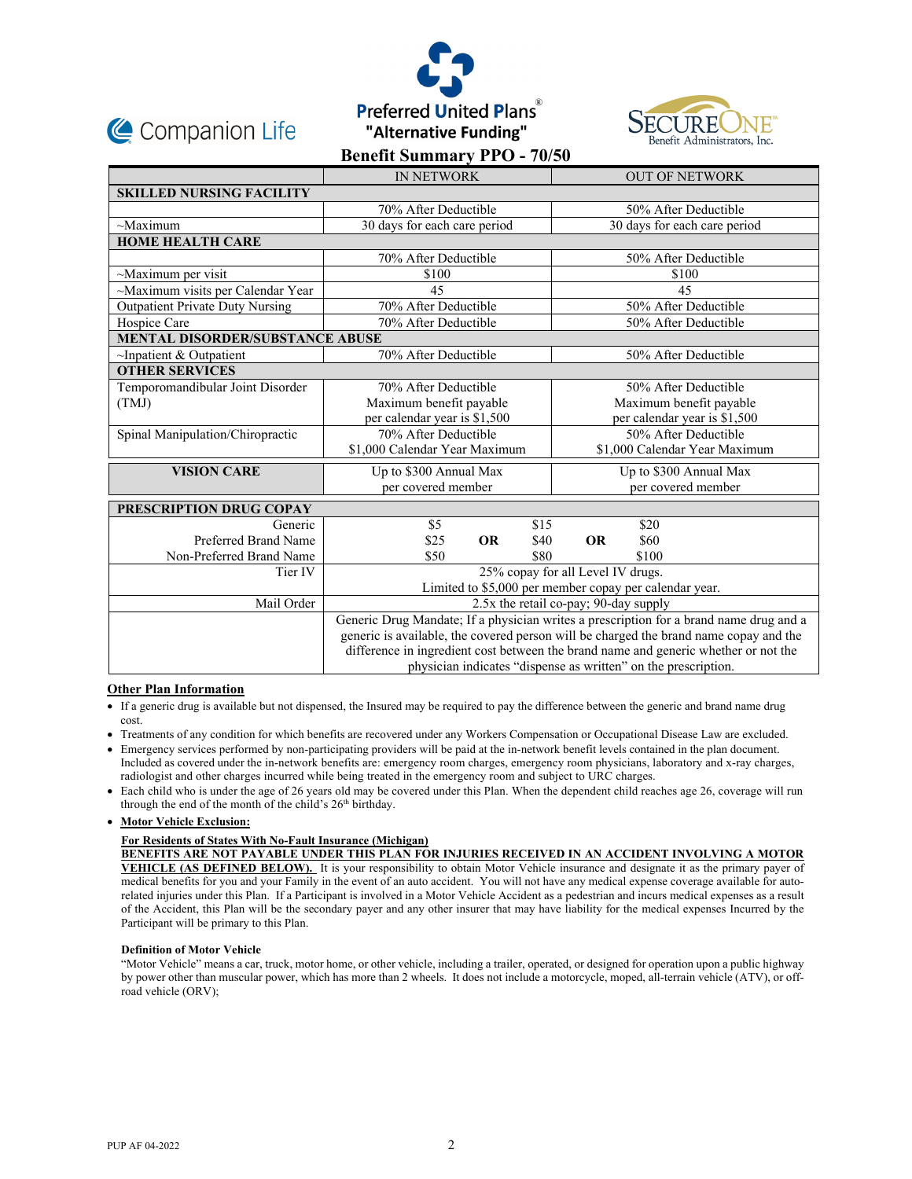





|                                        | <b>IN NETWORK</b>                                                                      | <b>OUT OF NETWORK</b>         |  |
|----------------------------------------|----------------------------------------------------------------------------------------|-------------------------------|--|
| <b>SKILLED NURSING FACILITY</b>        |                                                                                        |                               |  |
|                                        | 70% After Deductible                                                                   | 50% After Deductible          |  |
| $\sim$ Maximum                         | 30 days for each care period                                                           | 30 days for each care period  |  |
| <b>HOME HEALTH CARE</b>                |                                                                                        |                               |  |
|                                        | 70% After Deductible                                                                   | 50% After Deductible          |  |
| $\sim$ Maximum per visit               | \$100                                                                                  | \$100                         |  |
| ~Maximum visits per Calendar Year      | 45                                                                                     | 45                            |  |
| <b>Outpatient Private Duty Nursing</b> | 70% After Deductible                                                                   | 50% After Deductible          |  |
| Hospice Care                           | 70% After Deductible                                                                   | 50% After Deductible          |  |
| <b>MENTAL DISORDER/SUBSTANCE ABUSE</b> |                                                                                        |                               |  |
| $\sim$ Inpatient & Outpatient          | 70% After Deductible                                                                   | 50% After Deductible          |  |
| <b>OTHER SERVICES</b>                  |                                                                                        |                               |  |
| Temporomandibular Joint Disorder       | 70% After Deductible                                                                   | 50% After Deductible          |  |
| (TMJ)                                  | Maximum benefit payable                                                                | Maximum benefit payable       |  |
|                                        | per calendar year is \$1,500                                                           | per calendar year is \$1,500  |  |
| Spinal Manipulation/Chiropractic       | 70% After Deductible                                                                   | 50% After Deductible          |  |
|                                        | \$1,000 Calendar Year Maximum                                                          | \$1,000 Calendar Year Maximum |  |
| <b>VISION CARE</b>                     | Up to \$300 Annual Max                                                                 | Up to \$300 Annual Max        |  |
|                                        | per covered member                                                                     | per covered member            |  |
| <b>PRESCRIPTION DRUG COPAY</b>         |                                                                                        |                               |  |
| Generic                                | \$5<br>\$15                                                                            | \$20                          |  |
| Preferred Brand Name                   | <b>OR</b><br>\$40<br>\$25                                                              | <b>OR</b><br>\$60             |  |
| Non-Preferred Brand Name               | \$80<br>\$50                                                                           | \$100                         |  |
| Tier IV                                | 25% copay for all Level IV drugs.                                                      |                               |  |
|                                        | Limited to \$5,000 per member copay per calendar year.                                 |                               |  |
| Mail Order                             | 2.5x the retail co-pay; 90-day supply                                                  |                               |  |
|                                        | Generic Drug Mandate; If a physician writes a prescription for a brand name drug and a |                               |  |
|                                        | generic is available, the covered person will be charged the brand name copay and the  |                               |  |
|                                        | difference in ingredient cost between the brand name and generic whether or not the    |                               |  |
|                                        | physician indicates "dispense as written" on the prescription.                         |                               |  |

# **Other Plan Information**

- If a generic drug is available but not dispensed, the Insured may be required to pay the difference between the generic and brand name drug cost.
- Treatments of any condition for which benefits are recovered under any Workers Compensation or Occupational Disease Law are excluded.
- Emergency services performed by non-participating providers will be paid at the in-network benefit levels contained in the plan document. Included as covered under the in-network benefits are: emergency room charges, emergency room physicians, laboratory and x-ray charges, radiologist and other charges incurred while being treated in the emergency room and subject to URC charges.
- Each child who is under the age of 26 years old may be covered under this Plan. When the dependent child reaches age 26, coverage will run through the end of the month of the child's 26<sup>th</sup> birthday.

## **Motor Vehicle Exclusion:**

# **For Residents of States With No-Fault Insurance (Michigan)**

**BENEFITS ARE NOT PAYABLE UNDER THIS PLAN FOR INJURIES RECEIVED IN AN ACCIDENT INVOLVING A MOTOR VEHICLE (AS DEFINED BELOW).** It is your responsibility to obtain Motor Vehicle insurance and designate it as the primary payer of medical benefits for you and your Family in the event of an auto accident. You will not have any medical expense coverage available for autorelated injuries under this Plan. If a Participant is involved in a Motor Vehicle Accident as a pedestrian and incurs medical expenses as a result of the Accident, this Plan will be the secondary payer and any other insurer that may have liability for the medical expenses Incurred by the Participant will be primary to this Plan.

## **Definition of Motor Vehicle**

"Motor Vehicle" means a car, truck, motor home, or other vehicle, including a trailer, operated, or designed for operation upon a public highway by power other than muscular power, which has more than 2 wheels. It does not include a motorcycle, moped, all-terrain vehicle (ATV), or offroad vehicle (ORV);